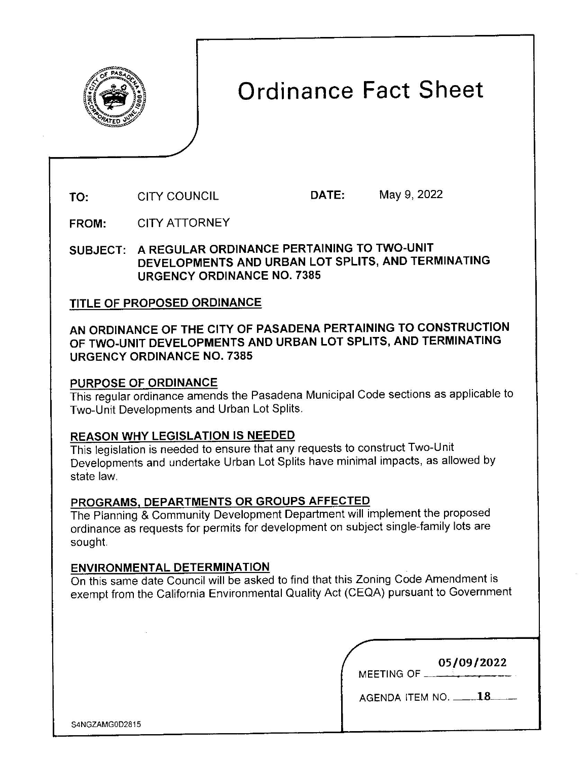

# Ordinance Fact Sheet

TO: CITY COUNCIL DATE: May 9, 2022

FROM: CITY ATTORNEY

SUBJECT: A REGULAR ORDINANCE PERTAINING TO TWO-UNIT DEVELOPMENTS AND URBAN LOT SPLITS, AND TERMINATING URGENCY ORDINANCE NO. 7385

# TITLE OF PROPOSED ORDINANCE

# **AN ORDINANCE OF THE CITY OF PASADENA PERTAINING TO CONSTRUCTION OF TWO-UNIT DEVELOPMENTS AND URBAN LOT SPLITS, AND TERMINATING URGENCY ORDINANCE NO. 7385**

## **PURPOSE OF ORDINANCE**

This regular ordinance amends the Pasadena Municipal Code sections as applicable to Two-Unit Developments and Urban Lot Splits.

## **REASON WHY LEGISLATION IS NEEDED**

This legislation is needed to ensure that any requests to construct Two-Unit Developments and undertake Urban Lot Splits have minimal impacts, as allowed by state law.

## **PROGRAMS, DEPARTMENTS OR GROUPS AFFECTED**

The Planning & Community Development Department will implement the proposed ordinance as requests for permits for development on subject single-family lots are sought.

#### **ENVIRONMENTAL DETERMINATION**

On this same date Council will be asked to find that this Zoning Code Amendment is exempt from the California Environmental Quality Act (CEQA) pursuant to Government

| 05/09/2022<br>MEETING OF __ |  |
|-----------------------------|--|
|                             |  |
| AGENDA ITEM NO. _           |  |

S4NGZAMGDD2815